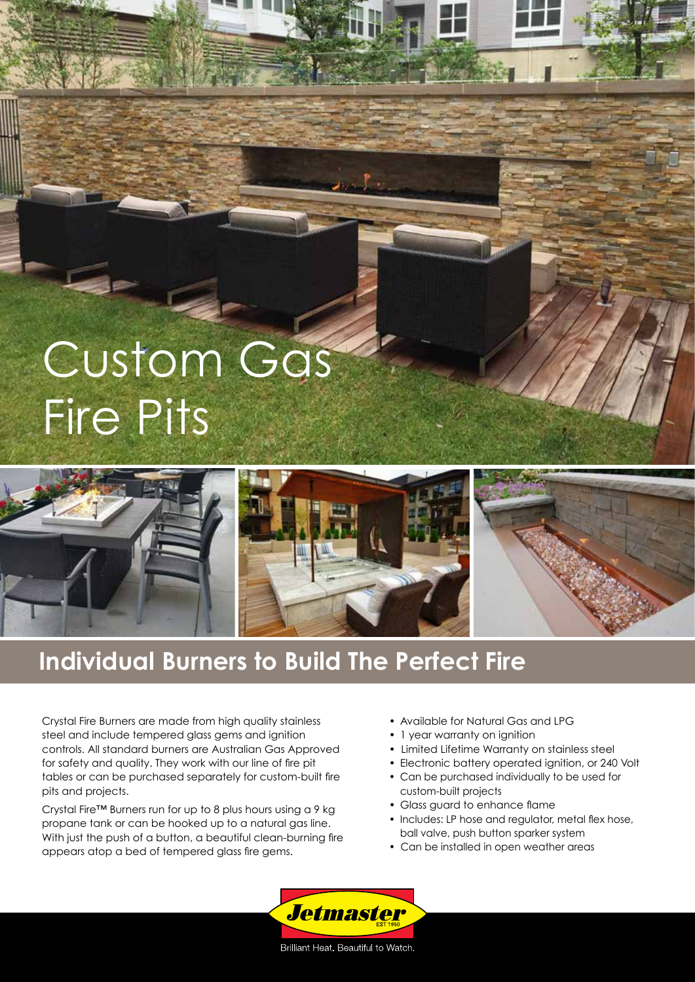## Custom Gas Fire Pits



## **Individual Burners to Build The Perfect Fire**

Crystal Fire Burners are made from high quality stainless steel and include tempered glass gems and ignition controls. All standard burners are Australian Gas Approved for safety and quality. They work with our line of fire pit tables or can be purchased separately for custom-built fire pits and projects.

Crystal Fire™ Burners run for up to 8 plus hours using a 9 kg propane tank or can be hooked up to a natural gas line. With just the push of a button, a beautiful clean-burning fire appears atop a bed of tempered glass fire gems.

- Available for Natural Gas and LPG
- 1 year warranty on ignition
- Limited Lifetime Warranty on stainless steel
- Electronic battery operated ignition, or 240 Volt
- Can be purchased individually to be used for custom-built projects
- Glass guard to enhance flame
- Includes: LP hose and regulator, metal flex hose, ball valve, push button sparker system
- Can be installed in open weather areas



Brilliant Heat. Beautiful to Watch.